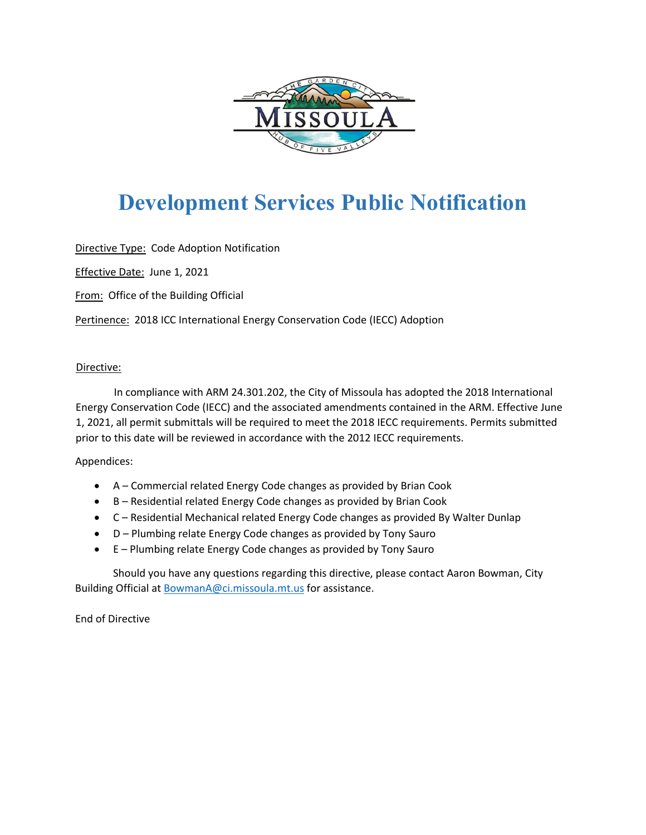

## **Development Services Public Notification**

Directive Type: Code Adoption Notification

Effective Date: June 1, 2021

From: Office of the Building Official

Pertinence: 2018 ICC International Energy Conservation Code (IECC) Adoption

#### Directive:

In compliance with ARM 24.301.202, the City of Missoula has adopted the 2018 International Energy Conservation Code (IECC) and the associated amendments contained in the ARM. Effective June 1, 2021, all permit submittals will be required to meet the 2018 IECC requirements. Permits submitted prior to this date will be reviewed in accordance with the 2012 IECC requirements.

### Appendices:

- A Commercial related Energy Code changes as provided by Brian Cook
- B Residential related Energy Code changes as provided by Brian Cook
- C Residential Mechanical related Energy Code changes as provided By Walter Dunlap
- D Plumbing relate Energy Code changes as provided by Tony Sauro
- E Plumbing relate Energy Code changes as provided by Tony Sauro

Should you have any questions regarding this directive, please contact Aaron Bowman, City Building Official at BowmanA@ci.missoula.mt.us for assistance.

End of Directive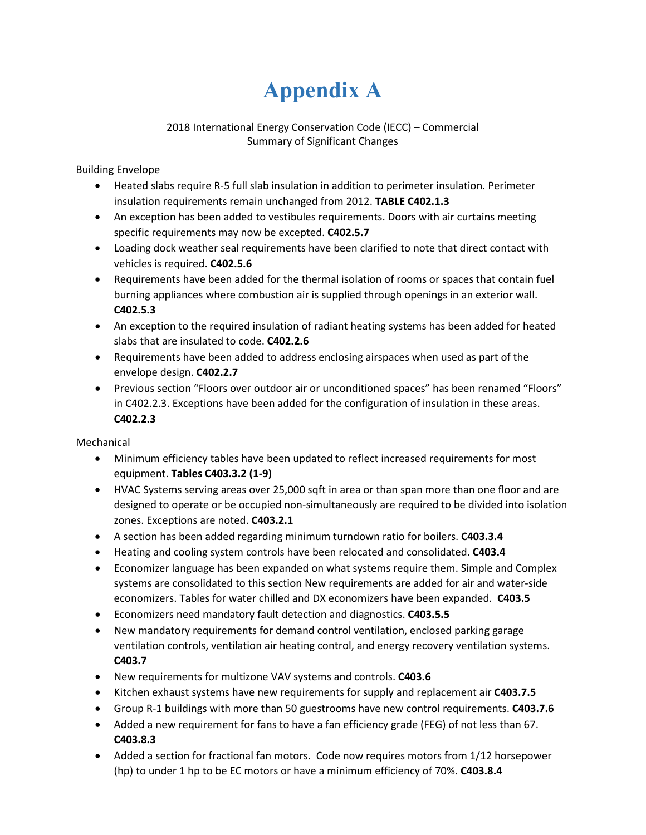# **Appendix A**

### 2018 International Energy Conservation Code (IECC) – Commercial Summary of Significant Changes

### Building Envelope

- Heated slabs require R-5 full slab insulation in addition to perimeter insulation. Perimeter insulation requirements remain unchanged from 2012. **TABLE C402.1.3**
- An exception has been added to vestibules requirements. Doors with air curtains meeting specific requirements may now be excepted. **C402.5.7**
- Loading dock weather seal requirements have been clarified to note that direct contact with vehicles is required. **C402.5.6**
- Requirements have been added for the thermal isolation of rooms or spaces that contain fuel burning appliances where combustion air is supplied through openings in an exterior wall. **C402.5.3**
- An exception to the required insulation of radiant heating systems has been added for heated slabs that are insulated to code. **C402.2.6**
- Requirements have been added to address enclosing airspaces when used as part of the envelope design. **C402.2.7**
- Previous section "Floors over outdoor air or unconditioned spaces" has been renamed "Floors" in C402.2.3. Exceptions have been added for the configuration of insulation in these areas. **C402.2.3**

### Mechanical

- Minimum efficiency tables have been updated to reflect increased requirements for most equipment. **Tables C403.3.2 (1-9)**
- HVAC Systems serving areas over 25,000 sqft in area or than span more than one floor and are designed to operate or be occupied non-simultaneously are required to be divided into isolation zones. Exceptions are noted. **C403.2.1**
- A section has been added regarding minimum turndown ratio for boilers. **C403.3.4**
- Heating and cooling system controls have been relocated and consolidated. **C403.4**
- Economizer language has been expanded on what systems require them. Simple and Complex systems are consolidated to this section New requirements are added for air and water-side economizers. Tables for water chilled and DX economizers have been expanded. **C403.5**
- Economizers need mandatory fault detection and diagnostics. **C403.5.5**
- New mandatory requirements for demand control ventilation, enclosed parking garage ventilation controls, ventilation air heating control, and energy recovery ventilation systems. **C403.7**
- New requirements for multizone VAV systems and controls. **C403.6**
- Kitchen exhaust systems have new requirements for supply and replacement air **C403.7.5**
- Group R-1 buildings with more than 50 guestrooms have new control requirements. **C403.7.6**
- Added a new requirement for fans to have a fan efficiency grade (FEG) of not less than 67. **C403.8.3**
- Added a section for fractional fan motors. Code now requires motors from 1/12 horsepower (hp) to under 1 hp to be EC motors or have a minimum efficiency of 70%. **C403.8.4**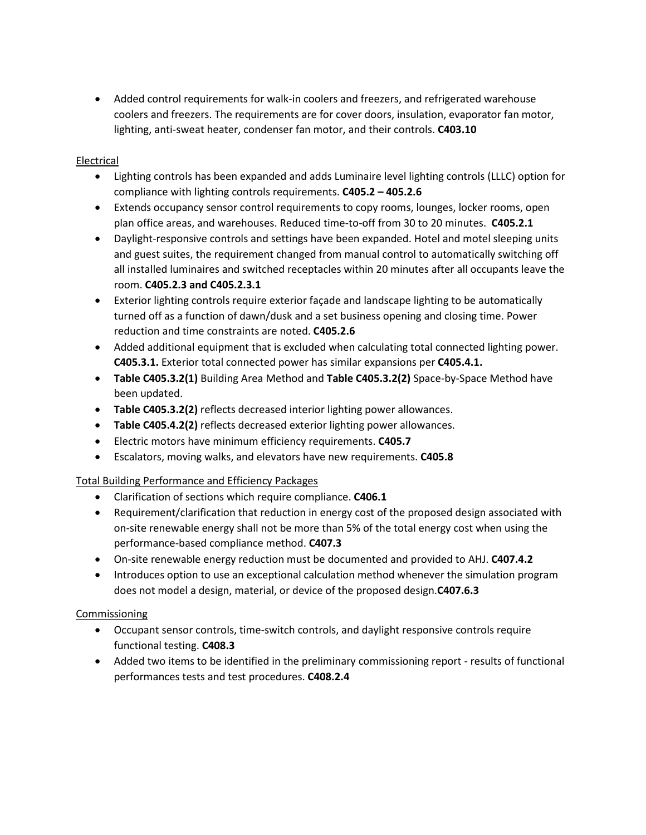• Added control requirements for walk-in coolers and freezers, and refrigerated warehouse coolers and freezers. The requirements are for cover doors, insulation, evaporator fan motor, lighting, anti-sweat heater, condenser fan motor, and their controls. **C403.10**

#### Electrical

- Lighting controls has been expanded and adds Luminaire level lighting controls (LLLC) option for compliance with lighting controls requirements. **C405.2 – 405.2.6**
- Extends occupancy sensor control requirements to copy rooms, lounges, locker rooms, open plan office areas, and warehouses. Reduced time-to-off from 30 to 20 minutes. **C405.2.1**
- Daylight-responsive controls and settings have been expanded. Hotel and motel sleeping units and guest suites, the requirement changed from manual control to automatically switching off all installed luminaires and switched receptacles within 20 minutes after all occupants leave the room. **C405.2.3 and C405.2.3.1**
- Exterior lighting controls require exterior façade and landscape lighting to be automatically turned off as a function of dawn/dusk and a set business opening and closing time. Power reduction and time constraints are noted. **C405.2.6**
- Added additional equipment that is excluded when calculating total connected lighting power. **C405.3.1.** Exterior total connected power has similar expansions per **C405.4.1.**
- **Table C405.3.2(1)** Building Area Method and **Table C405.3.2(2)** Space-by-Space Method have been updated.
- **Table C405.3.2(2)** reflects decreased interior lighting power allowances.
- **Table C405.4.2(2)** reflects decreased exterior lighting power allowances.
- Electric motors have minimum efficiency requirements. **C405.7**
- Escalators, moving walks, and elevators have new requirements. **C405.8**

### Total Building Performance and Efficiency Packages

- Clarification of sections which require compliance. **C406.1**
- Requirement/clarification that reduction in energy cost of the proposed design associated with on-site renewable energy shall not be more than 5% of the total energy cost when using the performance-based compliance method. **C407.3**
- On-site renewable energy reduction must be documented and provided to AHJ. **C407.4.2**
- Introduces option to use an exceptional calculation method whenever the simulation program does not model a design, material, or device of the proposed design.**C407.6.3**

#### Commissioning

- Occupant sensor controls, time-switch controls, and daylight responsive controls require functional testing. **C408.3**
- Added two items to be identified in the preliminary commissioning report results of functional performances tests and test procedures. **C408.2.4**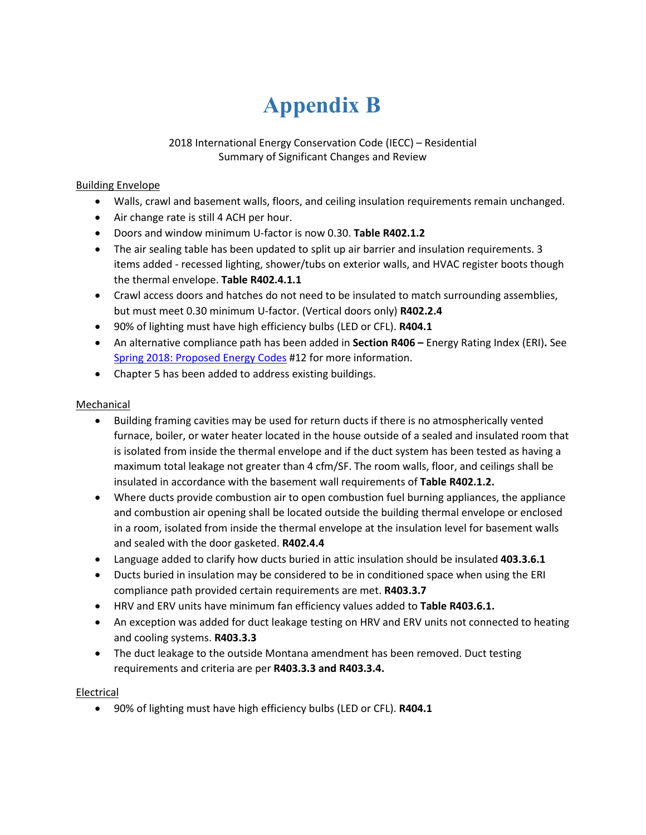# **Appendix B**

2018 International Energy Conservation Code (IECC) – Residential Summary of Significant Changes and Review

#### Building Envelope

- Walls, crawl and basement walls, floors, and ceiling insulation requirements remain unchanged.
- Air change rate is still 4 ACH per hour.
- Doors and window minimum U-factor is now 0.30. **Table R402.1.2**
- The air sealing table has been updated to split up air barrier and insulation requirements. 3 items added - recessed lighting, shower/tubs on exterior walls, and HVAC register boots though the thermal envelope. **Table R402.4.1.1**
- Crawl access doors and hatches do not need to be insulated to match surrounding assemblies, but must meet 0.30 minimum U-factor. (Vertical doors only) **R402.2.4**
- 90% of lighting must have high efficiency bulbs (LED or CFL). **R404.1**
- An alternative compliance path has been added in **Section R406 –** Energy Rating Index (ERI)**.** See [Spring 2018: Proposed Energy Codes](http://deq.mt.gov/Portals/112/Energy/Documents/Energy_Code_Newsletter_043018.pdf) #12 for more information.
- Chapter 5 has been added to address existing buildings.

#### Mechanical

- Building framing cavities may be used for return ducts if there is no atmospherically vented furnace, boiler, or water heater located in the house outside of a sealed and insulated room that is isolated from inside the thermal envelope and if the duct system has been tested as having a maximum total leakage not greater than 4 cfm/SF. The room walls, floor, and ceilings shall be insulated in accordance with the basement wall requirements of **Table R402.1.2.**
- Where ducts provide combustion air to open combustion fuel burning appliances, the appliance and combustion air opening shall be located outside the building thermal envelope or enclosed in a room, isolated from inside the thermal envelope at the insulation level for basement walls and sealed with the door gasketed. **R402.4.4**
- Language added to clarify how ducts buried in attic insulation should be insulated **403.3.6.1**
- Ducts buried in insulation may be considered to be in conditioned space when using the ERI compliance path provided certain requirements are met. **R403.3.7**
- HRV and ERV units have minimum fan efficiency values added to **Table R403.6.1.**
- An exception was added for duct leakage testing on HRV and ERV units not connected to heating and cooling systems. **R403.3.3**
- The duct leakage to the outside Montana amendment has been removed. Duct testing requirements and criteria are per **R403.3.3 and R403.3.4.**

#### Electrical

• 90% of lighting must have high efficiency bulbs (LED or CFL). **R404.1**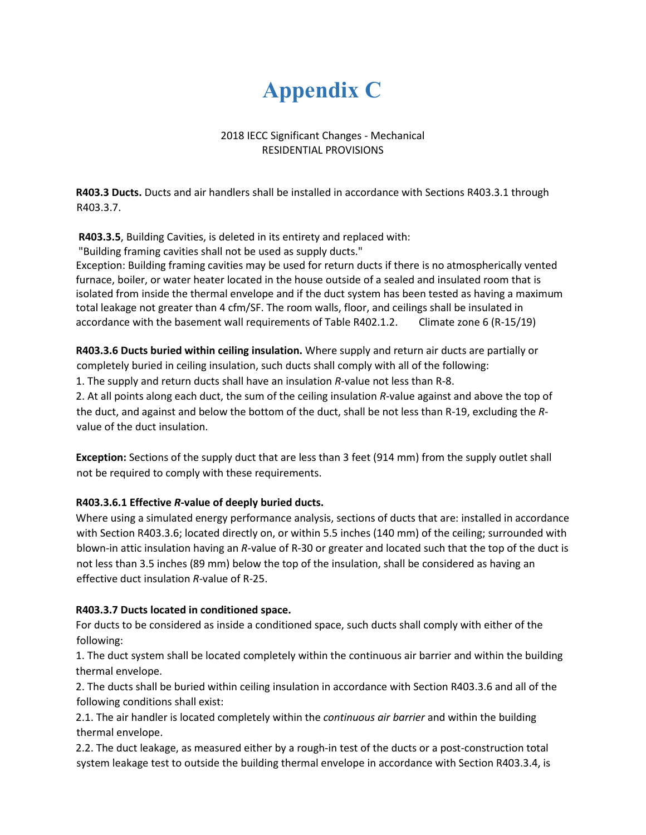## **Appendix C**

### 2018 IECC Significant Changes - Mechanical RESIDENTIAL PROVISIONS

**R403.3 Ducts.** Ducts and air handlers shall be installed in accordance with Sections R403.3.1 through R403.3.7.

**R403.3.5**, Building Cavities, is deleted in its entirety and replaced with:

"Building framing cavities shall not be used as supply ducts."

Exception: Building framing cavities may be used for return ducts if there is no atmospherically vented furnace, boiler, or water heater located in the house outside of a sealed and insulated room that is isolated from inside the thermal envelope and if the duct system has been tested as having a maximum total leakage not greater than 4 cfm/SF. The room walls, floor, and ceilings shall be insulated in accordance with the basement wall requirements of Table R402.1.2. Climate zone 6 (R-15/19)

**R403.3.6 Ducts buried within ceiling insulation.** Where supply and return air ducts are partially or completely buried in ceiling insulation, such ducts shall comply with all of the following:

1. The supply and return ducts shall have an insulation *R*-value not less than R-8.

2. At all points along each duct, the sum of the ceiling insulation *R*-value against and above the top of the duct, and against and below the bottom of the duct, shall be not less than R-19, excluding the *R*value of the duct insulation.

**Exception:** Sections of the supply duct that are less than 3 feet (914 mm) from the supply outlet shall not be required to comply with these requirements.

## **R403.3.6.1 Effective** *R***-value of deeply buried ducts.**

Where using a simulated energy performance analysis, sections of ducts that are: installed in accordance with Section R403.3.6; located directly on, or within 5.5 inches (140 mm) of the ceiling; surrounded with blown-in attic insulation having an *R*-value of R-30 or greater and located such that the top of the duct is not less than 3.5 inches (89 mm) below the top of the insulation, shall be considered as having an effective duct insulation *R*-value of R-25.

## **R403.3.7 Ducts located in conditioned space.**

For ducts to be considered as inside a conditioned space, such ducts shall comply with either of the following:

1. The duct system shall be located completely within the continuous air barrier and within the building thermal envelope.

2. The ducts shall be buried within ceiling insulation in accordance with Section R403.3.6 and all of the following conditions shall exist:

2.1. The air handler is located completely within the *continuous air barrier* and within the building thermal envelope.

2.2. The duct leakage, as measured either by a rough-in test of the ducts or a post-construction total system leakage test to outside the building thermal envelope in accordance with Section R403.3.4, is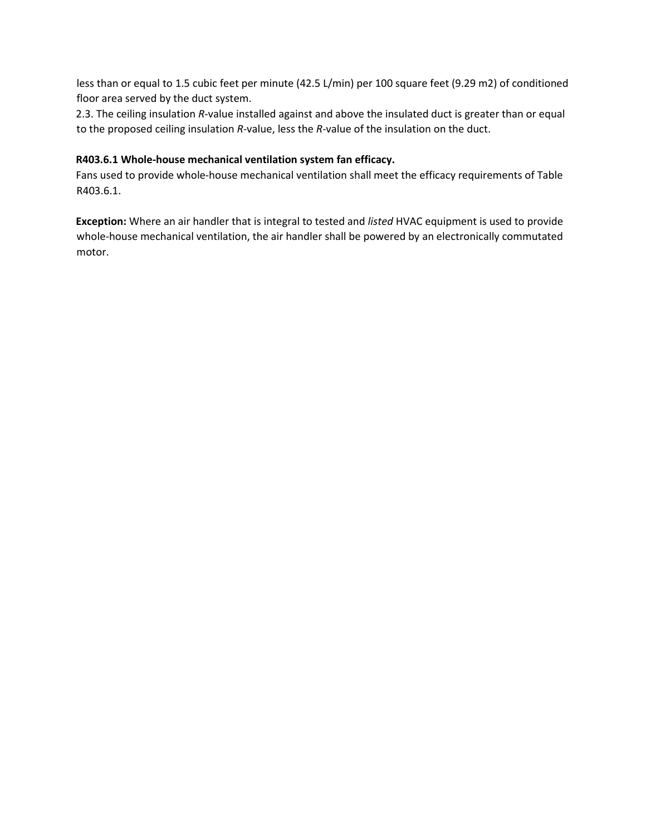less than or equal to 1.5 cubic feet per minute (42.5 L/min) per 100 square feet (9.29 m2) of conditioned floor area served by the duct system.

2.3. The ceiling insulation *R*-value installed against and above the insulated duct is greater than or equal to the proposed ceiling insulation *R*-value, less the *R*-value of the insulation on the duct.

#### **R403.6.1 Whole-house mechanical ventilation system fan efficacy.**

Fans used to provide whole-house mechanical ventilation shall meet the efficacy requirements of Table R403.6.1.

**Exception:** Where an air handler that is integral to tested and *listed* HVAC equipment is used to provide whole-house mechanical ventilation, the air handler shall be powered by an electronically commutated motor.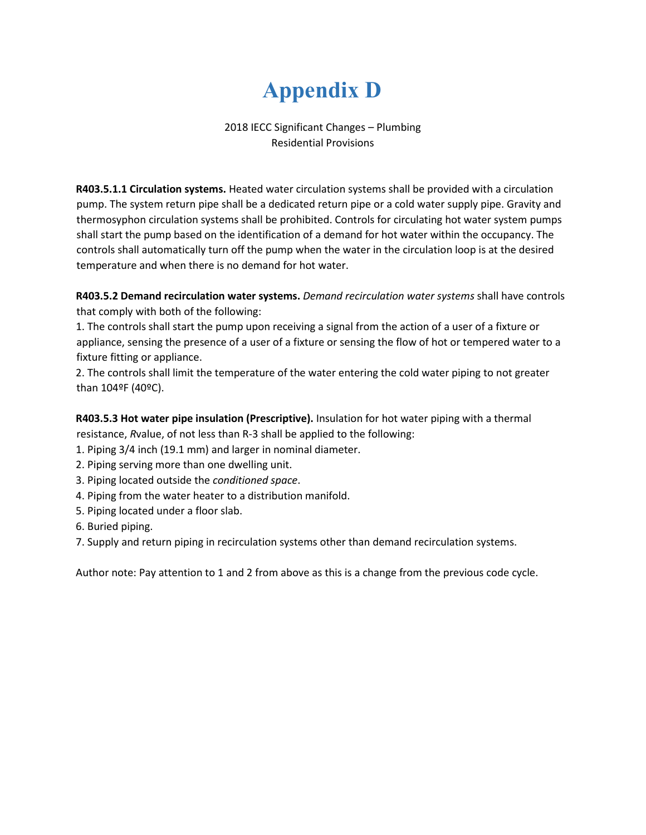## **Appendix D**

## 2018 IECC Significant Changes – Plumbing Residential Provisions

**R403.5.1.1 Circulation systems.** Heated water circulation systems shall be provided with a circulation pump. The system return pipe shall be a dedicated return pipe or a cold water supply pipe. Gravity and thermosyphon circulation systems shall be prohibited. Controls for circulating hot water system pumps shall start the pump based on the identification of a demand for hot water within the occupancy. The controls shall automatically turn off the pump when the water in the circulation loop is at the desired temperature and when there is no demand for hot water.

**R403.5.2 Demand recirculation water systems.** *Demand recirculation water systems* shall have controls that comply with both of the following:

1. The controls shall start the pump upon receiving a signal from the action of a user of a fixture or appliance, sensing the presence of a user of a fixture or sensing the flow of hot or tempered water to a fixture fitting or appliance.

2. The controls shall limit the temperature of the water entering the cold water piping to not greater than 104ºF (40ºC).

**R403.5.3 Hot water pipe insulation (Prescriptive).** Insulation for hot water piping with a thermal resistance, *R*value, of not less than R-3 shall be applied to the following:

- 1. Piping 3/4 inch (19.1 mm) and larger in nominal diameter.
- 2. Piping serving more than one dwelling unit.
- 3. Piping located outside the *conditioned space*.
- 4. Piping from the water heater to a distribution manifold.
- 5. Piping located under a floor slab.
- 6. Buried piping.
- 7. Supply and return piping in recirculation systems other than demand recirculation systems.

Author note: Pay attention to 1 and 2 from above as this is a change from the previous code cycle.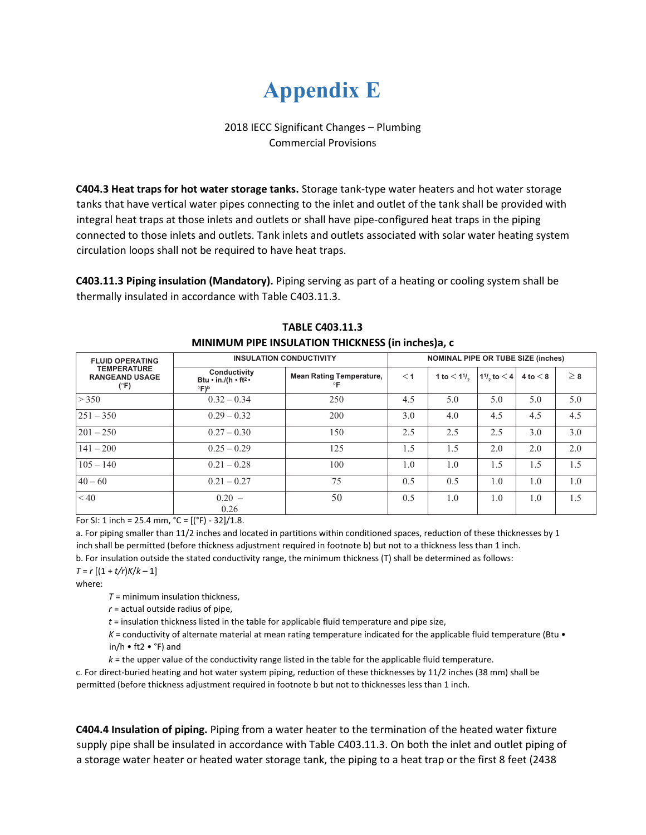## **Appendix E**

### 2018 IECC Significant Changes – Plumbing Commercial Provisions

**C404.3 Heat traps for hot water storage tanks.** Storage tank-type water heaters and hot water storage tanks that have vertical water pipes connecting to the inlet and outlet of the tank shall be provided with integral heat traps at those inlets and outlets or shall have pipe-configured heat traps in the piping connected to those inlets and outlets. Tank inlets and outlets associated with solar water heating system circulation loops shall not be required to have heat traps.

**C403.11.3 Piping insulation (Mandatory).** Piping serving as part of a heating or cooling system shall be thermally insulated in accordance with Table C403.11.3.

| <b>FLUID OPERATING</b><br><b>TEMPERATURE</b><br><b>RANGEAND USAGE</b><br>$(^{\circ}F)$ | <b>INSULATION CONDUCTIVITY</b>                                             |                                       | <b>NOMINAL PIPE OR TUBE SIZE (inches)</b> |                                        |                   |            |          |
|----------------------------------------------------------------------------------------|----------------------------------------------------------------------------|---------------------------------------|-------------------------------------------|----------------------------------------|-------------------|------------|----------|
|                                                                                        | Conductivity<br>Btu $\cdot$ in./(h $\cdot$ ft <sup>2</sup> $\cdot$<br>°F)b | <b>Mean Rating Temperature,</b><br>°F | $<$ 1                                     | 1 to $< 1$ <sup>1</sup> / <sub>2</sub> | $11/2$ , to $< 4$ | 4 to $<$ 8 | $\geq 8$ |
| > 350                                                                                  | $0.32 - 0.34$                                                              | 250                                   | 4.5                                       | 5.0                                    | 5.0               | 5.0        | 5.0      |
| $251 - 350$                                                                            | $0.29 - 0.32$                                                              | 200                                   | 3.0                                       | 4.0                                    | 4.5               | 4.5        | 4.5      |
| $201 - 250$                                                                            | $0.27 - 0.30$                                                              | 150                                   | 2.5                                       | 2.5                                    | 2.5               | 3.0        | 3.0      |
| $141 - 200$                                                                            | $0.25 - 0.29$                                                              | 125                                   | 1.5                                       | 1.5                                    | 2.0               | 2.0        | 2.0      |
| $105 - 140$                                                                            | $0.21 - 0.28$                                                              | 100                                   | 1.0                                       | 1.0                                    | 1.5               | 1.5        | 1.5      |
| $40 - 60$                                                                              | $0.21 - 0.27$                                                              | 75                                    | 0.5                                       | 0.5                                    | 1.0               | 1.0        | 1.0      |
| < 40                                                                                   | $0.20 -$<br>0.26                                                           | 50                                    | 0.5                                       | 1.0                                    | 1.0               | 1.0        | 1.5      |

#### **TABLE C403.11.3 MINIMUM PIPE INSULATION THICKNESS (in inches)a, c**

For SI: 1 inch = 25.4 mm,  $°C = [(°F) - 32]/1.8$ .

a. For piping smaller than 11/2 inches and located in partitions within conditioned spaces, reduction of these thicknesses by 1 inch shall be permitted (before thickness adjustment required in footnote b) but not to a thickness less than 1 inch. b. For insulation outside the stated conductivity range, the minimum thickness (T) shall be determined as follows:  $T = r [(1 + t/r)K/k - 1]$ 

where:

*T* = minimum insulation thickness,

*r* = actual outside radius of pipe,

*t* = insulation thickness listed in the table for applicable fluid temperature and pipe size,

*K* = conductivity of alternate material at mean rating temperature indicated for the applicable fluid temperature (Btu • in/h • ft2 • °F) and

*k* = the upper value of the conductivity range listed in the table for the applicable fluid temperature.

c. For direct-buried heating and hot water system piping, reduction of these thicknesses by 11/2 inches (38 mm) shall be permitted (before thickness adjustment required in footnote b but not to thicknesses less than 1 inch.

**C404.4 Insulation of piping.** Piping from a water heater to the termination of the heated water fixture supply pipe shall be insulated in accordance with Table C403.11.3. On both the inlet and outlet piping of a storage water heater or heated water storage tank, the piping to a heat trap or the first 8 feet (2438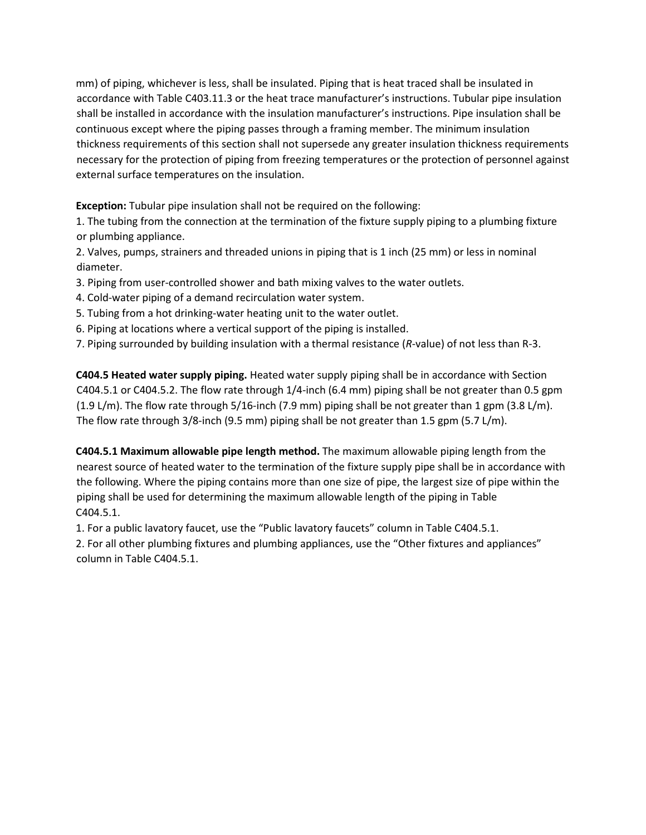mm) of piping, whichever is less, shall be insulated. Piping that is heat traced shall be insulated in accordance with Table C403.11.3 or the heat trace manufacturer's instructions. Tubular pipe insulation shall be installed in accordance with the insulation manufacturer's instructions. Pipe insulation shall be continuous except where the piping passes through a framing member. The minimum insulation thickness requirements of this section shall not supersede any greater insulation thickness requirements necessary for the protection of piping from freezing temperatures or the protection of personnel against external surface temperatures on the insulation.

**Exception:** Tubular pipe insulation shall not be required on the following:

1. The tubing from the connection at the termination of the fixture supply piping to a plumbing fixture or plumbing appliance.

2. Valves, pumps, strainers and threaded unions in piping that is 1 inch (25 mm) or less in nominal diameter.

- 3. Piping from user-controlled shower and bath mixing valves to the water outlets.
- 4. Cold-water piping of a demand recirculation water system.
- 5. Tubing from a hot drinking-water heating unit to the water outlet.
- 6. Piping at locations where a vertical support of the piping is installed.
- 7. Piping surrounded by building insulation with a thermal resistance (*R*-value) of not less than R-3.

**C404.5 Heated water supply piping.** Heated water supply piping shall be in accordance with Section C404.5.1 or C404.5.2. The flow rate through 1/4-inch (6.4 mm) piping shall be not greater than 0.5 gpm (1.9 L/m). The flow rate through 5/16-inch (7.9 mm) piping shall be not greater than 1 gpm (3.8 L/m). The flow rate through 3/8-inch (9.5 mm) piping shall be not greater than 1.5 gpm (5.7 L/m).

**C404.5.1 Maximum allowable pipe length method.** The maximum allowable piping length from the nearest source of heated water to the termination of the fixture supply pipe shall be in accordance with the following. Where the piping contains more than one size of pipe, the largest size of pipe within the piping shall be used for determining the maximum allowable length of the piping in Table C404.5.1.

1. For a public lavatory faucet, use the "Public lavatory faucets" column in Table C404.5.1.

2. For all other plumbing fixtures and plumbing appliances, use the "Other fixtures and appliances" column in Table C404.5.1.